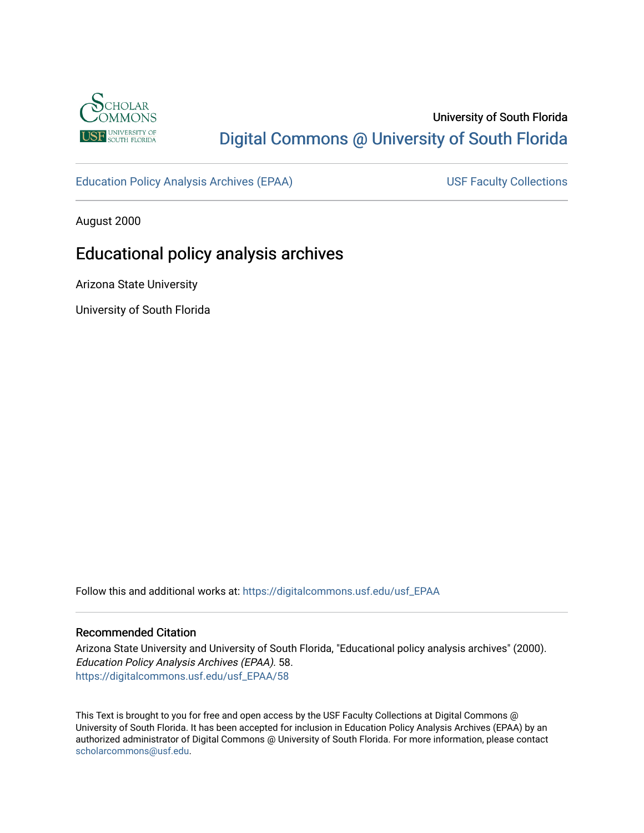

# University of South Florida [Digital Commons @ University of South Florida](https://digitalcommons.usf.edu/)

[Education Policy Analysis Archives \(EPAA\)](https://digitalcommons.usf.edu/usf_EPAA) USF Faculty Collections

August 2000

# Educational policy analysis archives

Arizona State University

University of South Florida

Follow this and additional works at: [https://digitalcommons.usf.edu/usf\\_EPAA](https://digitalcommons.usf.edu/usf_EPAA?utm_source=digitalcommons.usf.edu%2Fusf_EPAA%2F58&utm_medium=PDF&utm_campaign=PDFCoverPages)

#### Recommended Citation

Arizona State University and University of South Florida, "Educational policy analysis archives" (2000). Education Policy Analysis Archives (EPAA). 58. [https://digitalcommons.usf.edu/usf\\_EPAA/58](https://digitalcommons.usf.edu/usf_EPAA/58?utm_source=digitalcommons.usf.edu%2Fusf_EPAA%2F58&utm_medium=PDF&utm_campaign=PDFCoverPages) 

This Text is brought to you for free and open access by the USF Faculty Collections at Digital Commons @ University of South Florida. It has been accepted for inclusion in Education Policy Analysis Archives (EPAA) by an authorized administrator of Digital Commons @ University of South Florida. For more information, please contact [scholarcommons@usf.edu.](mailto:scholarcommons@usf.edu)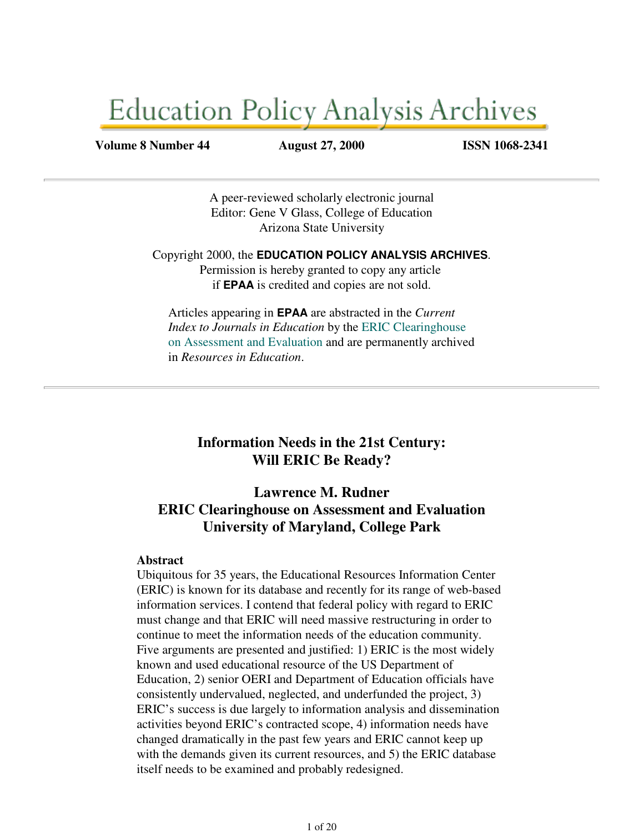# **Education Policy Analysis Archives**

#### **Volume 8 Number 44 August 27, 2000 ISSN 1068-2341**

A peer-reviewed scholarly electronic journal Editor: Gene V Glass, College of Education Arizona State University

Copyright 2000, the **EDUCATION POLICY ANALYSIS ARCHIVES**. Permission is hereby granted to copy any article if **EPAA** is credited and copies are not sold.

Articles appearing in **EPAA** are abstracted in the *Current Index to Journals in Education* by the ERIC Clearinghouse on Assessment and Evaluation and are permanently archived in *Resources in Education*.

## **Information Needs in the 21st Century: Will ERIC Be Ready?**

## **Lawrence M. Rudner ERIC Clearinghouse on Assessment and Evaluation University of Maryland, College Park**

#### **Abstract**

Ubiquitous for 35 years, the Educational Resources Information Center (ERIC) is known for its database and recently for its range of web-based information services. I contend that federal policy with regard to ERIC must change and that ERIC will need massive restructuring in order to continue to meet the information needs of the education community. Five arguments are presented and justified: 1) ERIC is the most widely known and used educational resource of the US Department of Education, 2) senior OERI and Department of Education officials have consistently undervalued, neglected, and underfunded the project, 3) ERIC's success is due largely to information analysis and dissemination activities beyond ERIC's contracted scope, 4) information needs have changed dramatically in the past few years and ERIC cannot keep up with the demands given its current resources, and 5) the ERIC database itself needs to be examined and probably redesigned.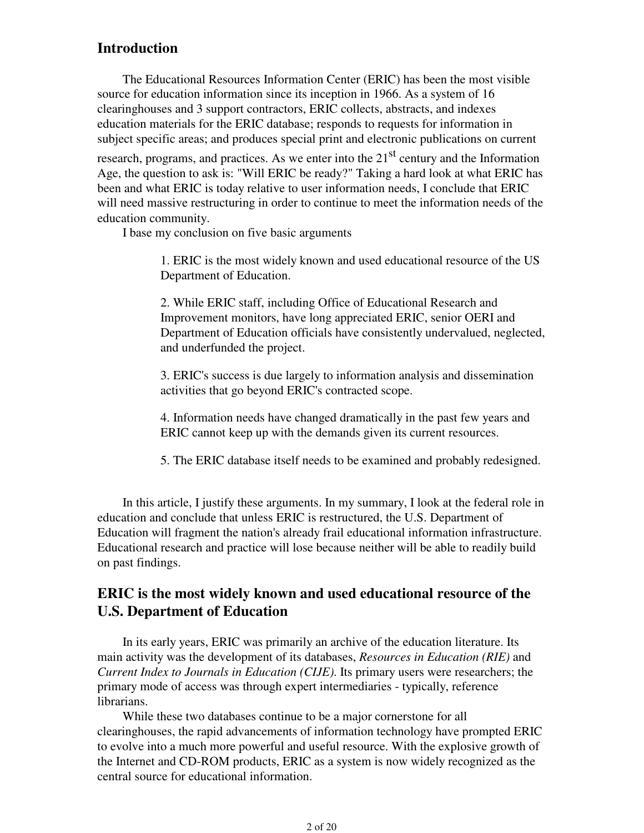## **Introduction**

 The Educational Resources Information Center (ERIC) has been the most visible source for education information since its inception in 1966. As a system of 16 clearinghouses and 3 support contractors, ERIC collects, abstracts, and indexes education materials for the ERIC database; responds to requests for information in subject specific areas; and produces special print and electronic publications on current

research, programs, and practices. As we enter into the  $21<sup>st</sup>$  century and the Information Age, the question to ask is: "Will ERIC be ready?" Taking a hard look at what ERIC has been and what ERIC is today relative to user information needs, I conclude that ERIC will need massive restructuring in order to continue to meet the information needs of the education community.

I base my conclusion on five basic arguments

1. ERIC is the most widely known and used educational resource of the US Department of Education.

2. While ERIC staff, including Office of Educational Research and Improvement monitors, have long appreciated ERIC, senior OERI and Department of Education officials have consistently undervalued, neglected, and underfunded the project.

3. ERIC's success is due largely to information analysis and dissemination activities that go beyond ERIC's contracted scope.

4. Information needs have changed dramatically in the past few years and ERIC cannot keep up with the demands given its current resources.

5. The ERIC database itself needs to be examined and probably redesigned.

 In this article, I justify these arguments. In my summary, I look at the federal role in education and conclude that unless ERIC is restructured, the U.S. Department of Education will fragment the nation's already frail educational information infrastructure. Educational research and practice will lose because neither will be able to readily build on past findings.

## **ERIC is the most widely known and used educational resource of the U.S. Department of Education**

 In its early years, ERIC was primarily an archive of the education literature. Its main activity was the development of its databases, *Resources in Education (RIE)* and *Current Index to Journals in Education (CIJE)*. Its primary users were researchers; the primary mode of access was through expert intermediaries - typically, reference librarians.

 While these two databases continue to be a major cornerstone for all clearinghouses, the rapid advancements of information technology have prompted ERIC to evolve into a much more powerful and useful resource. With the explosive growth of the Internet and CD-ROM products, ERIC as a system is now widely recognized as the central source for educational information.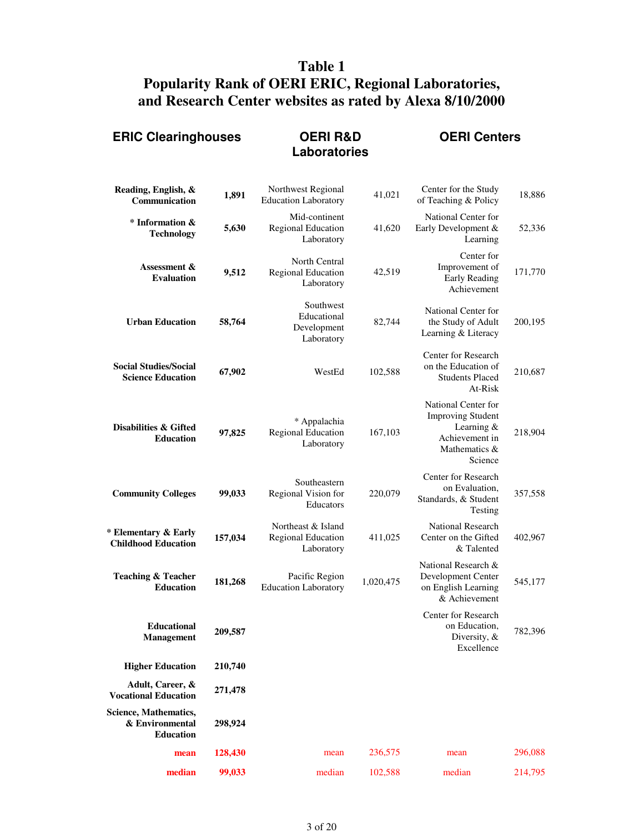# **Table 1 Popularity Rank of OERI ERIC, Regional Laboratories, and Research Center websites as rated by Alexa 8/10/2000**

| <b>ERIC Clearinghouses</b>                                   |         | <b>OERI R&amp;D</b><br><b>Laboratories</b>               |           | <b>OERI Centers</b>                                                                                         |         |  |
|--------------------------------------------------------------|---------|----------------------------------------------------------|-----------|-------------------------------------------------------------------------------------------------------------|---------|--|
| Reading, English, &<br>Communication                         | 1,891   | Northwest Regional<br><b>Education Laboratory</b>        | 41,021    | Center for the Study<br>of Teaching & Policy                                                                | 18,886  |  |
| * Information &<br><b>Technology</b>                         | 5,630   | Mid-continent<br>Regional Education<br>Laboratory        | 41,620    | National Center for<br>Early Development &<br>Learning                                                      | 52,336  |  |
| Assessment &<br><b>Evaluation</b>                            | 9,512   | North Central<br><b>Regional Education</b><br>Laboratory | 42,519    | Center for<br>Improvement of<br>Early Reading<br>Achievement                                                | 171,770 |  |
| <b>Urban Education</b>                                       | 58,764  | Southwest<br>Educational<br>Development<br>Laboratory    | 82,744    | National Center for<br>the Study of Adult<br>Learning & Literacy                                            | 200,195 |  |
| <b>Social Studies/Social</b><br><b>Science Education</b>     | 67,902  | WestEd                                                   | 102,588   | Center for Research<br>on the Education of<br><b>Students Placed</b><br>At-Risk                             | 210,687 |  |
| Disabilities & Gifted<br><b>Education</b>                    | 97,825  | * Appalachia<br>Regional Education<br>Laboratory         | 167,103   | National Center for<br><b>Improving Student</b><br>Learning &<br>Achievement in<br>Mathematics &<br>Science | 218,904 |  |
| <b>Community Colleges</b>                                    | 99,033  | Southeastern<br>Regional Vision for<br>Educators         | 220,079   | Center for Research<br>on Evaluation,<br>Standards, & Student<br>Testing                                    | 357,558 |  |
| * Elementary & Early<br><b>Childhood Education</b>           | 157,034 | Northeast & Island<br>Regional Education<br>Laboratory   | 411,025   | <b>National Research</b><br>Center on the Gifted<br>& Talented                                              | 402,967 |  |
| <b>Teaching &amp; Teacher</b><br><b>Education</b>            | 181,268 | Pacific Region<br><b>Education Laboratory</b>            | 1,020,475 | National Research &<br>Development Center<br>on English Learning<br>& Achievement                           | 545,177 |  |
| <b>Educational</b><br><b>Management</b>                      | 209,587 |                                                          |           | Center for Research<br>on Education,<br>Diversity, &<br>Excellence                                          | 782,396 |  |
| <b>Higher Education</b>                                      | 210,740 |                                                          |           |                                                                                                             |         |  |
| Adult, Career, &<br><b>Vocational Education</b>              | 271,478 |                                                          |           |                                                                                                             |         |  |
| Science, Mathematics,<br>& Environmental<br><b>Education</b> | 298,924 |                                                          |           |                                                                                                             |         |  |
| mean                                                         | 128,430 | mean                                                     | 236,575   | mean                                                                                                        | 296,088 |  |
| median                                                       | 99,033  | median                                                   | 102,588   | median                                                                                                      | 214,795 |  |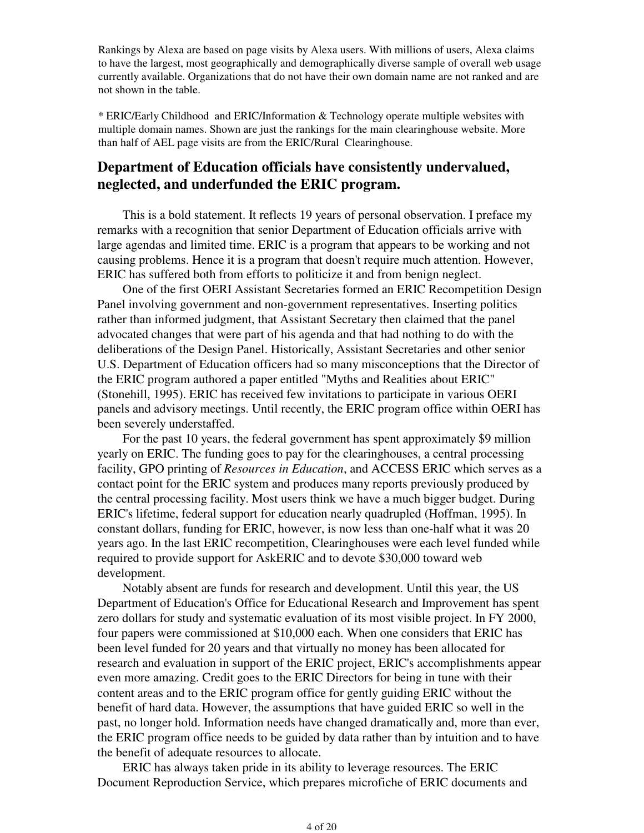Rankings by Alexa are based on page visits by Alexa users. With millions of users, Alexa claims to have the largest, most geographically and demographically diverse sample of overall web usage currently available. Organizations that do not have their own domain name are not ranked and are not shown in the table.

\* ERIC/Early Childhood and ERIC/Information & Technology operate multiple websites with multiple domain names. Shown are just the rankings for the main clearinghouse website. More than half of AEL page visits are from the ERIC/Rural Clearinghouse.

## **Department of Education officials have consistently undervalued, neglected, and underfunded the ERIC program.**

 This is a bold statement. It reflects 19 years of personal observation. I preface my remarks with a recognition that senior Department of Education officials arrive with large agendas and limited time. ERIC is a program that appears to be working and not causing problems. Hence it is a program that doesn't require much attention. However, ERIC has suffered both from efforts to politicize it and from benign neglect.

 One of the first OERI Assistant Secretaries formed an ERIC Recompetition Design Panel involving government and non-government representatives. Inserting politics rather than informed judgment, that Assistant Secretary then claimed that the panel advocated changes that were part of his agenda and that had nothing to do with the deliberations of the Design Panel. Historically, Assistant Secretaries and other senior U.S. Department of Education officers had so many misconceptions that the Director of the ERIC program authored a paper entitled "Myths and Realities about ERIC" (Stonehill, 1995). ERIC has received few invitations to participate in various OERI panels and advisory meetings. Until recently, the ERIC program office within OERI has been severely understaffed.

 For the past 10 years, the federal government has spent approximately \$9 million yearly on ERIC. The funding goes to pay for the clearinghouses, a central processing facility, GPO printing of *Resources in Education*, and ACCESS ERIC which serves as a contact point for the ERIC system and produces many reports previously produced by the central processing facility. Most users think we have a much bigger budget. During ERIC's lifetime, federal support for education nearly quadrupled (Hoffman, 1995). In constant dollars, funding for ERIC, however, is now less than one-half what it was 20 years ago. In the last ERIC recompetition, Clearinghouses were each level funded while required to provide support for AskERIC and to devote \$30,000 toward web development.

 Notably absent are funds for research and development. Until this year, the US Department of Education's Office for Educational Research and Improvement has spent zero dollars for study and systematic evaluation of its most visible project. In FY 2000, four papers were commissioned at \$10,000 each. When one considers that ERIC has been level funded for 20 years and that virtually no money has been allocated for research and evaluation in support of the ERIC project, ERIC's accomplishments appear even more amazing. Credit goes to the ERIC Directors for being in tune with their content areas and to the ERIC program office for gently guiding ERIC without the benefit of hard data. However, the assumptions that have guided ERIC so well in the past, no longer hold. Information needs have changed dramatically and, more than ever, the ERIC program office needs to be guided by data rather than by intuition and to have the benefit of adequate resources to allocate.

 ERIC has always taken pride in its ability to leverage resources. The ERIC Document Reproduction Service, which prepares microfiche of ERIC documents and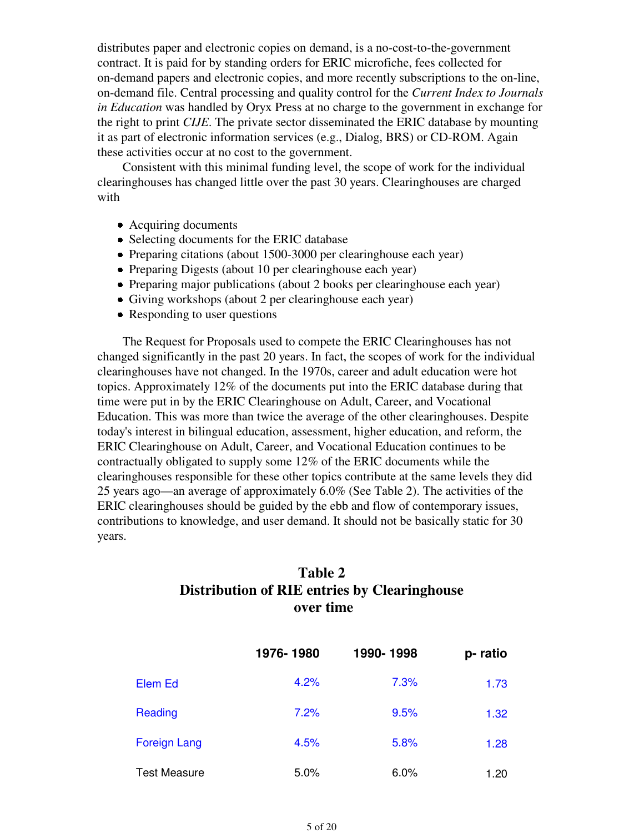distributes paper and electronic copies on demand, is a no-cost-to-the-government contract. It is paid for by standing orders for ERIC microfiche, fees collected for on-demand papers and electronic copies, and more recently subscriptions to the on-line, on-demand file. Central processing and quality control for the *Current Index to Journals in Education* was handled by Oryx Press at no charge to the government in exchange for the right to print *CIJE*. The private sector disseminated the ERIC database by mounting it as part of electronic information services (e.g., Dialog, BRS) or CD-ROM. Again these activities occur at no cost to the government.

 Consistent with this minimal funding level, the scope of work for the individual clearinghouses has changed little over the past 30 years. Clearinghouses are charged with

- Acquiring documents
- Selecting documents for the ERIC database
- Preparing citations (about 1500-3000 per clearinghouse each year)
- Preparing Digests (about 10 per clearinghouse each year)
- Preparing major publications (about 2 books per clearinghouse each year)
- Giving workshops (about 2 per clearinghouse each year)
- Responding to user questions

 The Request for Proposals used to compete the ERIC Clearinghouses has not changed significantly in the past 20 years. In fact, the scopes of work for the individual clearinghouses have not changed. In the 1970s, career and adult education were hot topics. Approximately 12% of the documents put into the ERIC database during that time were put in by the ERIC Clearinghouse on Adult, Career, and Vocational Education. This was more than twice the average of the other clearinghouses. Despite today's interest in bilingual education, assessment, higher education, and reform, the ERIC Clearinghouse on Adult, Career, and Vocational Education continues to be contractually obligated to supply some 12% of the ERIC documents while the clearinghouses responsible for these other topics contribute at the same levels they did 25 years ago—an average of approximately 6.0% (See Table 2). The activities of the ERIC clearinghouses should be guided by the ebb and flow of contemporary issues, contributions to knowledge, and user demand. It should not be basically static for 30 years.

## **Table 2 Distribution of RIE entries by Clearinghouse over time**

|                     | 1976-1980 | 1990-1998 | p-ratio |
|---------------------|-----------|-----------|---------|
| Elem Ed             | 4.2%      | 7.3%      | 1.73    |
| Reading             | 7.2%      | 9.5%      | 1.32    |
| <b>Foreign Lang</b> | 4.5%      | 5.8%      | 1.28    |
| <b>Test Measure</b> | 5.0%      | 6.0%      | 1.20    |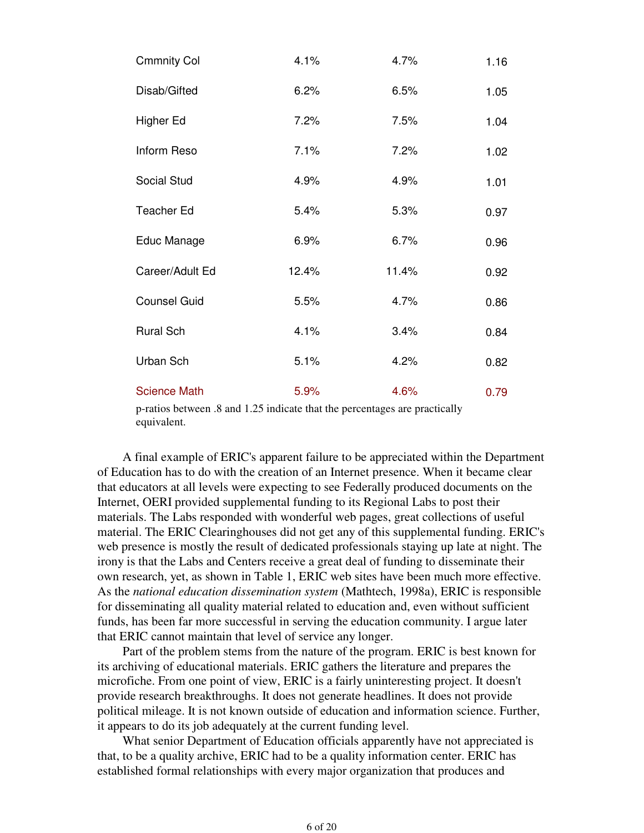| <b>Cmmnity Col</b>  | 4.1%  | 4.7%  | 1.16 |
|---------------------|-------|-------|------|
| Disab/Gifted        | 6.2%  | 6.5%  | 1.05 |
| Higher Ed           | 7.2%  | 7.5%  | 1.04 |
| Inform Reso         | 7.1%  | 7.2%  | 1.02 |
| Social Stud         | 4.9%  | 4.9%  | 1.01 |
| <b>Teacher Ed</b>   | 5.4%  | 5.3%  | 0.97 |
| Educ Manage         | 6.9%  | 6.7%  | 0.96 |
| Career/Adult Ed     | 12.4% | 11.4% | 0.92 |
| <b>Counsel Guid</b> | 5.5%  | 4.7%  | 0.86 |
| <b>Rural Sch</b>    | 4.1%  | 3.4%  | 0.84 |
| Urban Sch           | 5.1%  | 4.2%  | 0.82 |
| <b>Science Math</b> | 5.9%  | 4.6%  | 0.79 |

p-ratios between .8 and 1.25 indicate that the percentages are practically equivalent.

 A final example of ERIC's apparent failure to be appreciated within the Department of Education has to do with the creation of an Internet presence. When it became clear that educators at all levels were expecting to see Federally produced documents on the Internet, OERI provided supplemental funding to its Regional Labs to post their materials. The Labs responded with wonderful web pages, great collections of useful material. The ERIC Clearinghouses did not get any of this supplemental funding. ERIC's web presence is mostly the result of dedicated professionals staying up late at night. The irony is that the Labs and Centers receive a great deal of funding to disseminate their own research, yet, as shown in Table 1, ERIC web sites have been much more effective. As the *national education dissemination system* (Mathtech, 1998a), ERIC is responsible for disseminating all quality material related to education and, even without sufficient funds, has been far more successful in serving the education community. I argue later that ERIC cannot maintain that level of service any longer.

 Part of the problem stems from the nature of the program. ERIC is best known for its archiving of educational materials. ERIC gathers the literature and prepares the microfiche. From one point of view, ERIC is a fairly uninteresting project. It doesn't provide research breakthroughs. It does not generate headlines. It does not provide political mileage. It is not known outside of education and information science. Further, it appears to do its job adequately at the current funding level.

 What senior Department of Education officials apparently have not appreciated is that, to be a quality archive, ERIC had to be a quality information center. ERIC has established formal relationships with every major organization that produces and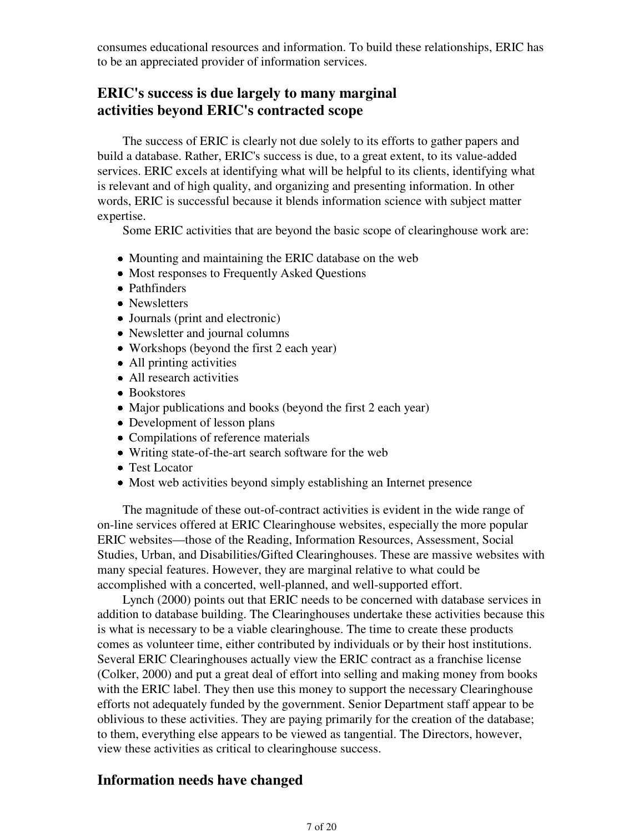consumes educational resources and information. To build these relationships, ERIC has to be an appreciated provider of information services.

## **ERIC's success is due largely to many marginal activities beyond ERIC's contracted scope**

 The success of ERIC is clearly not due solely to its efforts to gather papers and build a database. Rather, ERIC's success is due, to a great extent, to its value-added services. ERIC excels at identifying what will be helpful to its clients, identifying what is relevant and of high quality, and organizing and presenting information. In other words, ERIC is successful because it blends information science with subject matter expertise.

Some ERIC activities that are beyond the basic scope of clearinghouse work are:

- Mounting and maintaining the ERIC database on the web
- Most responses to Frequently Asked Questions
- Pathfinders
- Newsletters
- Journals (print and electronic)
- Newsletter and journal columns
- Workshops (beyond the first 2 each year)
- All printing activities
- All research activities
- Bookstores
- Major publications and books (beyond the first 2 each year)
- Development of lesson plans
- Compilations of reference materials
- Writing state-of-the-art search software for the web
- Test Locator
- Most web activities beyond simply establishing an Internet presence

 The magnitude of these out-of-contract activities is evident in the wide range of on-line services offered at ERIC Clearinghouse websites, especially the more popular ERIC websites—those of the Reading, Information Resources, Assessment, Social Studies, Urban, and Disabilities/Gifted Clearinghouses. These are massive websites with many special features. However, they are marginal relative to what could be accomplished with a concerted, well-planned, and well-supported effort.

 Lynch (2000) points out that ERIC needs to be concerned with database services in addition to database building. The Clearinghouses undertake these activities because this is what is necessary to be a viable clearinghouse. The time to create these products comes as volunteer time, either contributed by individuals or by their host institutions. Several ERIC Clearinghouses actually view the ERIC contract as a franchise license (Colker, 2000) and put a great deal of effort into selling and making money from books with the ERIC label. They then use this money to support the necessary Clearinghouse efforts not adequately funded by the government. Senior Department staff appear to be oblivious to these activities. They are paying primarily for the creation of the database; to them, everything else appears to be viewed as tangential. The Directors, however, view these activities as critical to clearinghouse success.

## **Information needs have changed**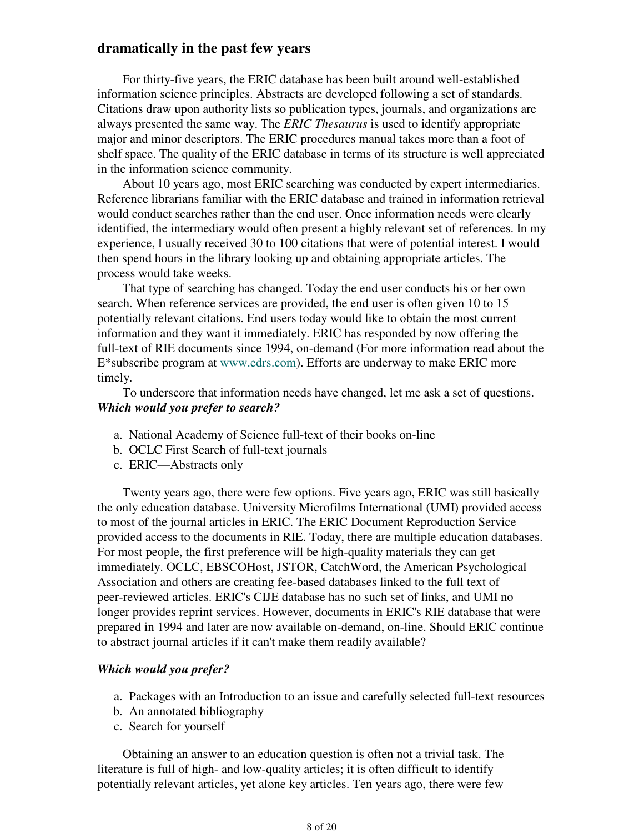## **dramatically in the past few years**

 For thirty-five years, the ERIC database has been built around well-established information science principles. Abstracts are developed following a set of standards. Citations draw upon authority lists so publication types, journals, and organizations are always presented the same way. The *ERIC Thesaurus* is used to identify appropriate major and minor descriptors. The ERIC procedures manual takes more than a foot of shelf space. The quality of the ERIC database in terms of its structure is well appreciated in the information science community.

 About 10 years ago, most ERIC searching was conducted by expert intermediaries. Reference librarians familiar with the ERIC database and trained in information retrieval would conduct searches rather than the end user. Once information needs were clearly identified, the intermediary would often present a highly relevant set of references. In my experience, I usually received 30 to 100 citations that were of potential interest. I would then spend hours in the library looking up and obtaining appropriate articles. The process would take weeks.

 That type of searching has changed. Today the end user conducts his or her own search. When reference services are provided, the end user is often given 10 to 15 potentially relevant citations. End users today would like to obtain the most current information and they want it immediately. ERIC has responded by now offering the full-text of RIE documents since 1994, on-demand (For more information read about the E\*subscribe program at www.edrs.com). Efforts are underway to make ERIC more timely.

 To underscore that information needs have changed, let me ask a set of questions. *Which would you prefer to search?*

- a. National Academy of Science full-text of their books on-line
- b. OCLC First Search of full-text journals
- c. ERIC—Abstracts only

 Twenty years ago, there were few options. Five years ago, ERIC was still basically the only education database. University Microfilms International (UMI) provided access to most of the journal articles in ERIC. The ERIC Document Reproduction Service provided access to the documents in RIE. Today, there are multiple education databases. For most people, the first preference will be high-quality materials they can get immediately. OCLC, EBSCOHost, JSTOR, CatchWord, the American Psychological Association and others are creating fee-based databases linked to the full text of peer-reviewed articles. ERIC's CIJE database has no such set of links, and UMI no longer provides reprint services. However, documents in ERIC's RIE database that were prepared in 1994 and later are now available on-demand, on-line. Should ERIC continue to abstract journal articles if it can't make them readily available?

#### *Which would you prefer?*

- a. Packages with an Introduction to an issue and carefully selected full-text resources
- b. An annotated bibliography
- c. Search for yourself

 Obtaining an answer to an education question is often not a trivial task. The literature is full of high- and low-quality articles; it is often difficult to identify potentially relevant articles, yet alone key articles. Ten years ago, there were few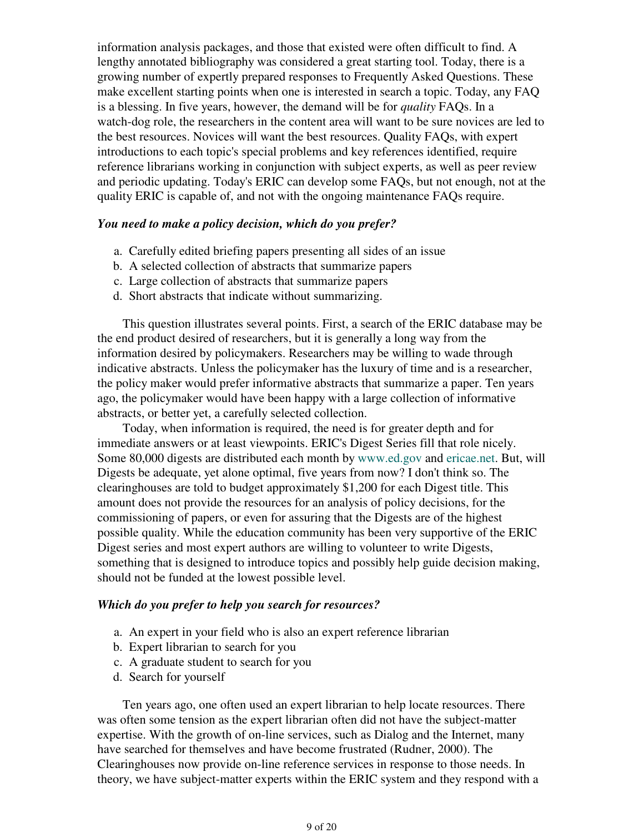information analysis packages, and those that existed were often difficult to find. A lengthy annotated bibliography was considered a great starting tool. Today, there is a growing number of expertly prepared responses to Frequently Asked Questions. These make excellent starting points when one is interested in search a topic. Today, any FAQ is a blessing. In five years, however, the demand will be for *quality* FAQs. In a watch-dog role, the researchers in the content area will want to be sure novices are led to the best resources. Novices will want the best resources. Quality FAQs, with expert introductions to each topic's special problems and key references identified, require reference librarians working in conjunction with subject experts, as well as peer review and periodic updating. Today's ERIC can develop some FAQs, but not enough, not at the quality ERIC is capable of, and not with the ongoing maintenance FAQs require.

#### *You need to make a policy decision, which do you prefer?*

- a. Carefully edited briefing papers presenting all sides of an issue
- b. A selected collection of abstracts that summarize papers
- c. Large collection of abstracts that summarize papers
- d. Short abstracts that indicate without summarizing.

 This question illustrates several points. First, a search of the ERIC database may be the end product desired of researchers, but it is generally a long way from the information desired by policymakers. Researchers may be willing to wade through indicative abstracts. Unless the policymaker has the luxury of time and is a researcher, the policy maker would prefer informative abstracts that summarize a paper. Ten years ago, the policymaker would have been happy with a large collection of informative abstracts, or better yet, a carefully selected collection.

 Today, when information is required, the need is for greater depth and for immediate answers or at least viewpoints. ERIC's Digest Series fill that role nicely. Some 80,000 digests are distributed each month by www.ed.gov and ericae.net. But, will Digests be adequate, yet alone optimal, five years from now? I don't think so. The clearinghouses are told to budget approximately \$1,200 for each Digest title. This amount does not provide the resources for an analysis of policy decisions, for the commissioning of papers, or even for assuring that the Digests are of the highest possible quality. While the education community has been very supportive of the ERIC Digest series and most expert authors are willing to volunteer to write Digests, something that is designed to introduce topics and possibly help guide decision making, should not be funded at the lowest possible level.

#### *Which do you prefer to help you search for resources?*

- a. An expert in your field who is also an expert reference librarian
- b. Expert librarian to search for you
- c. A graduate student to search for you
- d. Search for yourself

 Ten years ago, one often used an expert librarian to help locate resources. There was often some tension as the expert librarian often did not have the subject-matter expertise. With the growth of on-line services, such as Dialog and the Internet, many have searched for themselves and have become frustrated (Rudner, 2000). The Clearinghouses now provide on-line reference services in response to those needs. In theory, we have subject-matter experts within the ERIC system and they respond with a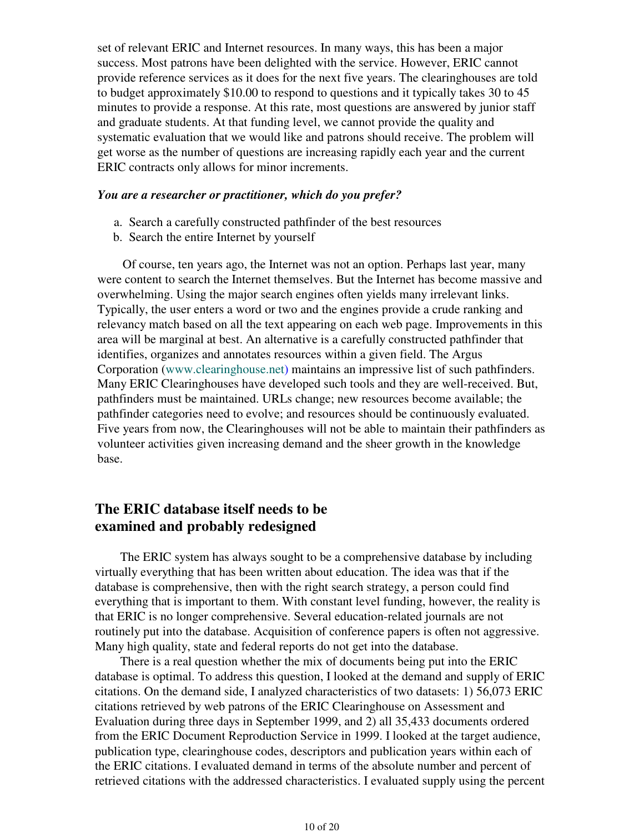set of relevant ERIC and Internet resources. In many ways, this has been a major success. Most patrons have been delighted with the service. However, ERIC cannot provide reference services as it does for the next five years. The clearinghouses are told to budget approximately \$10.00 to respond to questions and it typically takes 30 to 45 minutes to provide a response. At this rate, most questions are answered by junior staff and graduate students. At that funding level, we cannot provide the quality and systematic evaluation that we would like and patrons should receive. The problem will get worse as the number of questions are increasing rapidly each year and the current ERIC contracts only allows for minor increments.

#### *You are a researcher or practitioner, which do you prefer?*

- a. Search a carefully constructed pathfinder of the best resources
- b. Search the entire Internet by yourself

 Of course, ten years ago, the Internet was not an option. Perhaps last year, many were content to search the Internet themselves. But the Internet has become massive and overwhelming. Using the major search engines often yields many irrelevant links. Typically, the user enters a word or two and the engines provide a crude ranking and relevancy match based on all the text appearing on each web page. Improvements in this area will be marginal at best. An alternative is a carefully constructed pathfinder that identifies, organizes and annotates resources within a given field. The Argus Corporation (www.clearinghouse.net) maintains an impressive list of such pathfinders. Many ERIC Clearinghouses have developed such tools and they are well-received. But, pathfinders must be maintained. URLs change; new resources become available; the pathfinder categories need to evolve; and resources should be continuously evaluated. Five years from now, the Clearinghouses will not be able to maintain their pathfinders as volunteer activities given increasing demand and the sheer growth in the knowledge base.

## **The ERIC database itself needs to be examined and probably redesigned**

 The ERIC system has always sought to be a comprehensive database by including virtually everything that has been written about education. The idea was that if the database is comprehensive, then with the right search strategy, a person could find everything that is important to them. With constant level funding, however, the reality is that ERIC is no longer comprehensive. Several education-related journals are not routinely put into the database. Acquisition of conference papers is often not aggressive. Many high quality, state and federal reports do not get into the database.

 There is a real question whether the mix of documents being put into the ERIC database is optimal. To address this question, I looked at the demand and supply of ERIC citations. On the demand side, I analyzed characteristics of two datasets: 1) 56,073 ERIC citations retrieved by web patrons of the ERIC Clearinghouse on Assessment and Evaluation during three days in September 1999, and 2) all 35,433 documents ordered from the ERIC Document Reproduction Service in 1999. I looked at the target audience, publication type, clearinghouse codes, descriptors and publication years within each of the ERIC citations. I evaluated demand in terms of the absolute number and percent of retrieved citations with the addressed characteristics. I evaluated supply using the percent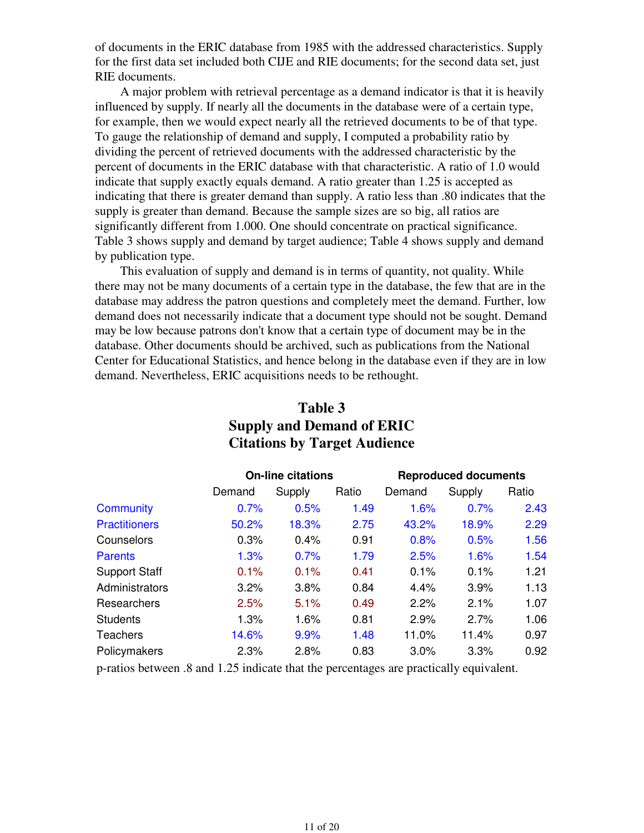of documents in the ERIC database from 1985 with the addressed characteristics. Supply for the first data set included both CIJE and RIE documents; for the second data set, just RIE documents.

 A major problem with retrieval percentage as a demand indicator is that it is heavily influenced by supply. If nearly all the documents in the database were of a certain type, for example, then we would expect nearly all the retrieved documents to be of that type. To gauge the relationship of demand and supply, I computed a probability ratio by dividing the percent of retrieved documents with the addressed characteristic by the percent of documents in the ERIC database with that characteristic. A ratio of 1.0 would indicate that supply exactly equals demand. A ratio greater than 1.25 is accepted as indicating that there is greater demand than supply. A ratio less than .80 indicates that the supply is greater than demand. Because the sample sizes are so big, all ratios are significantly different from 1.000. One should concentrate on practical significance. Table 3 shows supply and demand by target audience; Table 4 shows supply and demand by publication type.

 This evaluation of supply and demand is in terms of quantity, not quality. While there may not be many documents of a certain type in the database, the few that are in the database may address the patron questions and completely meet the demand. Further, low demand does not necessarily indicate that a document type should not be sought. Demand may be low because patrons don't know that a certain type of document may be in the database. Other documents should be archived, such as publications from the National Center for Educational Statistics, and hence belong in the database even if they are in low demand. Nevertheless, ERIC acquisitions needs to be rethought.

|                      |        | <b>On-line citations</b> |       |        | <b>Reproduced documents</b> |       |  |  |
|----------------------|--------|--------------------------|-------|--------|-----------------------------|-------|--|--|
|                      | Demand | Supply                   | Ratio | Demand | Supply                      | Ratio |  |  |
| <b>Community</b>     | 0.7%   | 0.5%                     | 1.49  | 1.6%   | 0.7%                        | 2.43  |  |  |
| <b>Practitioners</b> | 50.2%  | 18.3%                    | 2.75  | 43.2%  | 18.9%                       | 2.29  |  |  |
| Counselors           | 0.3%   | 0.4%                     | 0.91  | 0.8%   | 0.5%                        | 1.56  |  |  |
| <b>Parents</b>       | 1.3%   | 0.7%                     | 1.79  | 2.5%   | 1.6%                        | 1.54  |  |  |
| <b>Support Staff</b> | 0.1%   | 0.1%                     | 0.41  | 0.1%   | 0.1%                        | 1.21  |  |  |
| Administrators       | 3.2%   | 3.8%                     | 0.84  | 4.4%   | 3.9%                        | 1.13  |  |  |
| Researchers          | 2.5%   | 5.1%                     | 0.49  | 2.2%   | 2.1%                        | 1.07  |  |  |
| <b>Students</b>      | 1.3%   | 1.6%                     | 0.81  | 2.9%   | 2.7%                        | 1.06  |  |  |
| <b>Teachers</b>      | 14.6%  | 9.9%                     | 1.48  | 11.0%  | 11.4%                       | 0.97  |  |  |
| Policymakers         | 2.3%   | 2.8%                     | 0.83  | 3.0%   | 3.3%                        | 0.92  |  |  |

## **Table 3 Supply and Demand of ERIC Citations by Target Audience**

p-ratios between .8 and 1.25 indicate that the percentages are practically equivalent.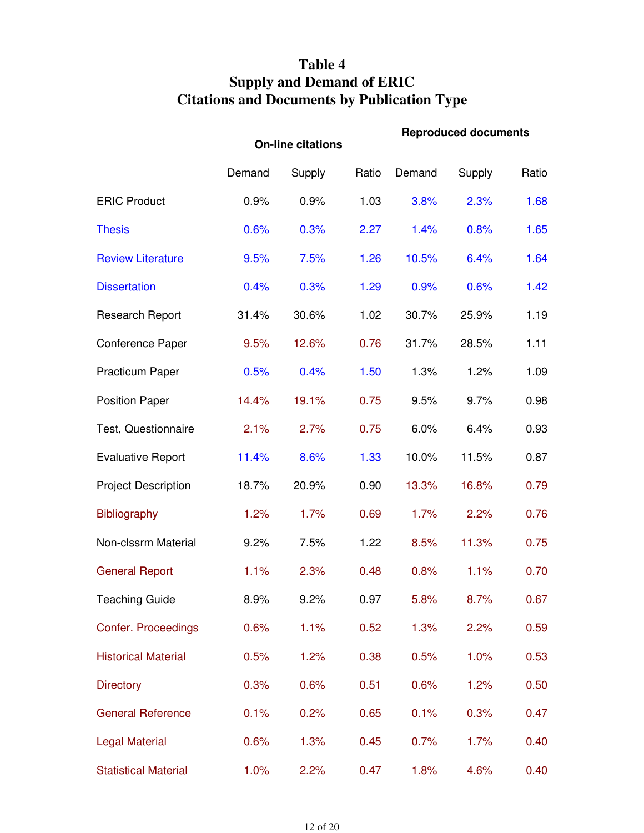# **Table 4 Supply and Demand of ERIC Citations and Documents by Publication Type**

|                             |        | <b>On-line citations</b> |       | <b>Reproduced documents</b> |        |       |  |
|-----------------------------|--------|--------------------------|-------|-----------------------------|--------|-------|--|
|                             | Demand | Supply                   | Ratio | Demand                      | Supply | Ratio |  |
| <b>ERIC Product</b>         | 0.9%   | 0.9%                     | 1.03  | 3.8%                        | 2.3%   | 1.68  |  |
| <b>Thesis</b>               | 0.6%   | 0.3%                     | 2.27  | 1.4%                        | 0.8%   | 1.65  |  |
| <b>Review Literature</b>    | 9.5%   | 7.5%                     | 1.26  | 10.5%                       | 6.4%   | 1.64  |  |
| <b>Dissertation</b>         | 0.4%   | 0.3%                     | 1.29  | 0.9%                        | 0.6%   | 1.42  |  |
| <b>Research Report</b>      | 31.4%  | 30.6%                    | 1.02  | 30.7%                       | 25.9%  | 1.19  |  |
| <b>Conference Paper</b>     | 9.5%   | 12.6%                    | 0.76  | 31.7%                       | 28.5%  | 1.11  |  |
| <b>Practicum Paper</b>      | 0.5%   | 0.4%                     | 1.50  | 1.3%                        | 1.2%   | 1.09  |  |
| <b>Position Paper</b>       | 14.4%  | 19.1%                    | 0.75  | 9.5%                        | 9.7%   | 0.98  |  |
| Test, Questionnaire         | 2.1%   | 2.7%                     | 0.75  | 6.0%                        | 6.4%   | 0.93  |  |
| <b>Evaluative Report</b>    | 11.4%  | 8.6%                     | 1.33  | 10.0%                       | 11.5%  | 0.87  |  |
| <b>Project Description</b>  | 18.7%  | 20.9%                    | 0.90  | 13.3%                       | 16.8%  | 0.79  |  |
| <b>Bibliography</b>         | 1.2%   | 1.7%                     | 0.69  | 1.7%                        | 2.2%   | 0.76  |  |
| Non-clssrm Material         | 9.2%   | 7.5%                     | 1.22  | 8.5%                        | 11.3%  | 0.75  |  |
| <b>General Report</b>       | 1.1%   | 2.3%                     | 0.48  | 0.8%                        | 1.1%   | 0.70  |  |
| <b>Teaching Guide</b>       | 8.9%   | 9.2%                     | 0.97  | 5.8%                        | 8.7%   | 0.67  |  |
| Confer. Proceedings         | 0.6%   | 1.1%                     | 0.52  | 1.3%                        | 2.2%   | 0.59  |  |
| <b>Historical Material</b>  | 0.5%   | 1.2%                     | 0.38  | 0.5%                        | 1.0%   | 0.53  |  |
| <b>Directory</b>            | 0.3%   | 0.6%                     | 0.51  | 0.6%                        | 1.2%   | 0.50  |  |
| <b>General Reference</b>    | 0.1%   | 0.2%                     | 0.65  | 0.1%                        | 0.3%   | 0.47  |  |
| <b>Legal Material</b>       | 0.6%   | 1.3%                     | 0.45  | 0.7%                        | 1.7%   | 0.40  |  |
| <b>Statistical Material</b> | 1.0%   | 2.2%                     | 0.47  | 1.8%                        | 4.6%   | 0.40  |  |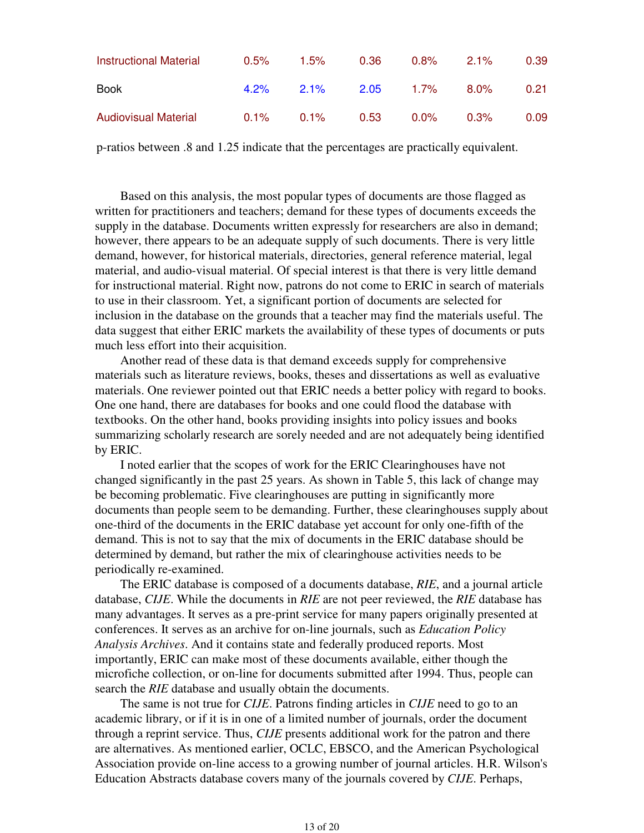| Instructional Material      | 0.5%    | 1.5%    | 0.36 | $0.8\%$ | $2.1\%$ | 0.39 |
|-----------------------------|---------|---------|------|---------|---------|------|
| <b>Book</b>                 | $4.2\%$ | $2.1\%$ | 2.05 | 1.7%    | 8.0%    | 0.21 |
| <b>Audiovisual Material</b> | $0.1\%$ | $0.1\%$ | 0.53 | $0.0\%$ | $0.3\%$ | 0.09 |

p-ratios between .8 and 1.25 indicate that the percentages are practically equivalent.

 Based on this analysis, the most popular types of documents are those flagged as written for practitioners and teachers; demand for these types of documents exceeds the supply in the database. Documents written expressly for researchers are also in demand; however, there appears to be an adequate supply of such documents. There is very little demand, however, for historical materials, directories, general reference material, legal material, and audio-visual material. Of special interest is that there is very little demand for instructional material. Right now, patrons do not come to ERIC in search of materials to use in their classroom. Yet, a significant portion of documents are selected for inclusion in the database on the grounds that a teacher may find the materials useful. The data suggest that either ERIC markets the availability of these types of documents or puts much less effort into their acquisition.

 Another read of these data is that demand exceeds supply for comprehensive materials such as literature reviews, books, theses and dissertations as well as evaluative materials. One reviewer pointed out that ERIC needs a better policy with regard to books. One one hand, there are databases for books and one could flood the database with textbooks. On the other hand, books providing insights into policy issues and books summarizing scholarly research are sorely needed and are not adequately being identified by ERIC.

 I noted earlier that the scopes of work for the ERIC Clearinghouses have not changed significantly in the past 25 years. As shown in Table 5, this lack of change may be becoming problematic. Five clearinghouses are putting in significantly more documents than people seem to be demanding. Further, these clearinghouses supply about one-third of the documents in the ERIC database yet account for only one-fifth of the demand. This is not to say that the mix of documents in the ERIC database should be determined by demand, but rather the mix of clearinghouse activities needs to be periodically re-examined.

 The ERIC database is composed of a documents database, *RIE*, and a journal article database, *CIJE*. While the documents in *RIE* are not peer reviewed, the *RIE* database has many advantages. It serves as a pre-print service for many papers originally presented at conferences. It serves as an archive for on-line journals, such as *Education Policy Analysis Archives*. And it contains state and federally produced reports. Most importantly, ERIC can make most of these documents available, either though the microfiche collection, or on-line for documents submitted after 1994. Thus, people can search the *RIE* database and usually obtain the documents.

 The same is not true for *CIJE*. Patrons finding articles in *CIJE* need to go to an academic library, or if it is in one of a limited number of journals, order the document through a reprint service. Thus, *CIJE* presents additional work for the patron and there are alternatives. As mentioned earlier, OCLC, EBSCO, and the American Psychological Association provide on-line access to a growing number of journal articles. H.R. Wilson's Education Abstracts database covers many of the journals covered by *CIJE*. Perhaps,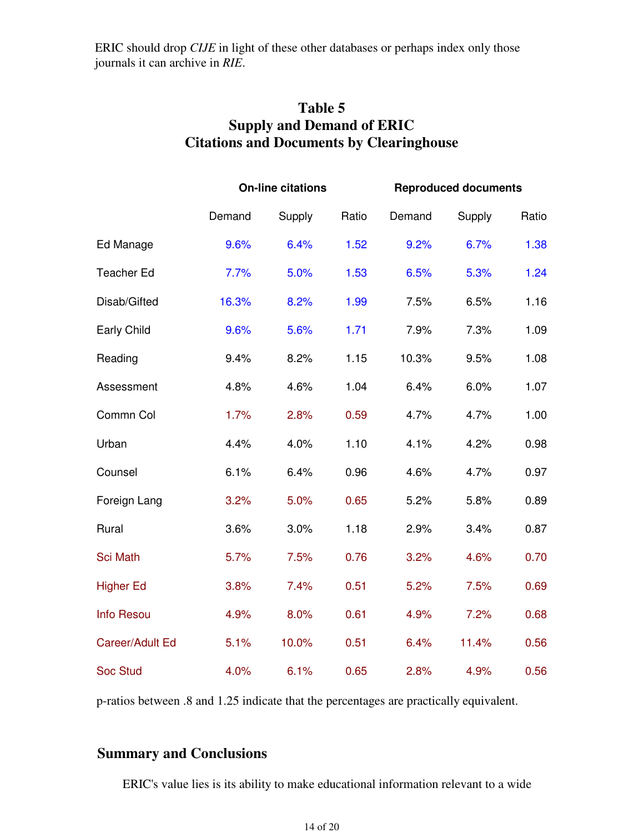ERIC should drop *CIJE* in light of these other databases or perhaps index only those journals it can archive in *RIE*.

| Table 5                                         |
|-------------------------------------------------|
| <b>Supply and Demand of ERIC</b>                |
| <b>Citations and Documents by Clearinghouse</b> |

|                   |        | <b>On-line citations</b> |       |        | <b>Reproduced documents</b> |       |  |  |
|-------------------|--------|--------------------------|-------|--------|-----------------------------|-------|--|--|
|                   | Demand | Supply                   | Ratio | Demand | Supply                      | Ratio |  |  |
| Ed Manage         | 9.6%   | 6.4%                     | 1.52  | 9.2%   | 6.7%                        | 1.38  |  |  |
| <b>Teacher Ed</b> | 7.7%   | 5.0%                     | 1.53  | 6.5%   | 5.3%                        | 1.24  |  |  |
| Disab/Gifted      | 16.3%  | 8.2%                     | 1.99  | 7.5%   | 6.5%                        | 1.16  |  |  |
| Early Child       | 9.6%   | 5.6%                     | 1.71  | 7.9%   | 7.3%                        | 1.09  |  |  |
| Reading           | 9.4%   | 8.2%                     | 1.15  | 10.3%  | 9.5%                        | 1.08  |  |  |
| Assessment        | 4.8%   | 4.6%                     | 1.04  | 6.4%   | 6.0%                        | 1.07  |  |  |
| Commn Col         | 1.7%   | 2.8%                     | 0.59  | 4.7%   | 4.7%                        | 1.00  |  |  |
| Urban             | 4.4%   | 4.0%                     | 1.10  | 4.1%   | 4.2%                        | 0.98  |  |  |
| Counsel           | 6.1%   | 6.4%                     | 0.96  | 4.6%   | 4.7%                        | 0.97  |  |  |
| Foreign Lang      | 3.2%   | 5.0%                     | 0.65  | 5.2%   | 5.8%                        | 0.89  |  |  |
| Rural             | 3.6%   | 3.0%                     | 1.18  | 2.9%   | 3.4%                        | 0.87  |  |  |
| <b>Sci Math</b>   | 5.7%   | 7.5%                     | 0.76  | 3.2%   | 4.6%                        | 0.70  |  |  |
| <b>Higher Ed</b>  | 3.8%   | 7.4%                     | 0.51  | 5.2%   | 7.5%                        | 0.69  |  |  |
| <b>Info Resou</b> | 4.9%   | 8.0%                     | 0.61  | 4.9%   | 7.2%                        | 0.68  |  |  |
| Career/Adult Ed   | 5.1%   | 10.0%                    | 0.51  | 6.4%   | 11.4%                       | 0.56  |  |  |
| <b>Soc Stud</b>   | 4.0%   | 6.1%                     | 0.65  | 2.8%   | 4.9%                        | 0.56  |  |  |

p-ratios between .8 and 1.25 indicate that the percentages are practically equivalent.

## **Summary and Conclusions**

ERIC's value lies is its ability to make educational information relevant to a wide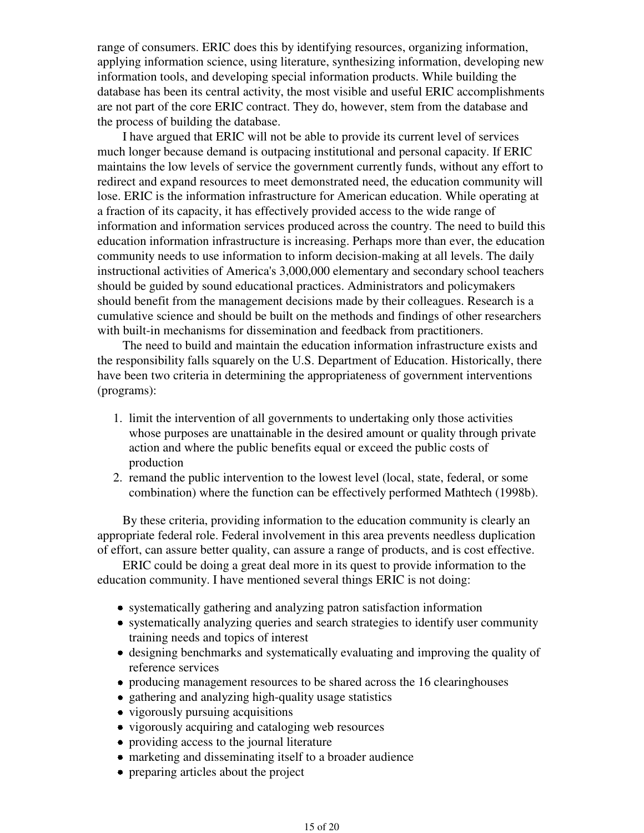range of consumers. ERIC does this by identifying resources, organizing information, applying information science, using literature, synthesizing information, developing new information tools, and developing special information products. While building the database has been its central activity, the most visible and useful ERIC accomplishments are not part of the core ERIC contract. They do, however, stem from the database and the process of building the database.

 I have argued that ERIC will not be able to provide its current level of services much longer because demand is outpacing institutional and personal capacity. If ERIC maintains the low levels of service the government currently funds, without any effort to redirect and expand resources to meet demonstrated need, the education community will lose. ERIC is the information infrastructure for American education. While operating at a fraction of its capacity, it has effectively provided access to the wide range of information and information services produced across the country. The need to build this education information infrastructure is increasing. Perhaps more than ever, the education community needs to use information to inform decision-making at all levels. The daily instructional activities of America's 3,000,000 elementary and secondary school teachers should be guided by sound educational practices. Administrators and policymakers should benefit from the management decisions made by their colleagues. Research is a cumulative science and should be built on the methods and findings of other researchers with built-in mechanisms for dissemination and feedback from practitioners.

 The need to build and maintain the education information infrastructure exists and the responsibility falls squarely on the U.S. Department of Education. Historically, there have been two criteria in determining the appropriateness of government interventions (programs):

- 1. limit the intervention of all governments to undertaking only those activities whose purposes are unattainable in the desired amount or quality through private action and where the public benefits equal or exceed the public costs of production
- 2. remand the public intervention to the lowest level (local, state, federal, or some combination) where the function can be effectively performed Mathtech (1998b).

 By these criteria, providing information to the education community is clearly an appropriate federal role. Federal involvement in this area prevents needless duplication of effort, can assure better quality, can assure a range of products, and is cost effective.

 ERIC could be doing a great deal more in its quest to provide information to the education community. I have mentioned several things ERIC is not doing:

- systematically gathering and analyzing patron satisfaction information
- systematically analyzing queries and search strategies to identify user community training needs and topics of interest
- designing benchmarks and systematically evaluating and improving the quality of reference services
- producing management resources to be shared across the 16 clearinghouses
- gathering and analyzing high-quality usage statistics
- vigorously pursuing acquisitions
- vigorously acquiring and cataloging web resources
- providing access to the journal literature
- marketing and disseminating itself to a broader audience
- preparing articles about the project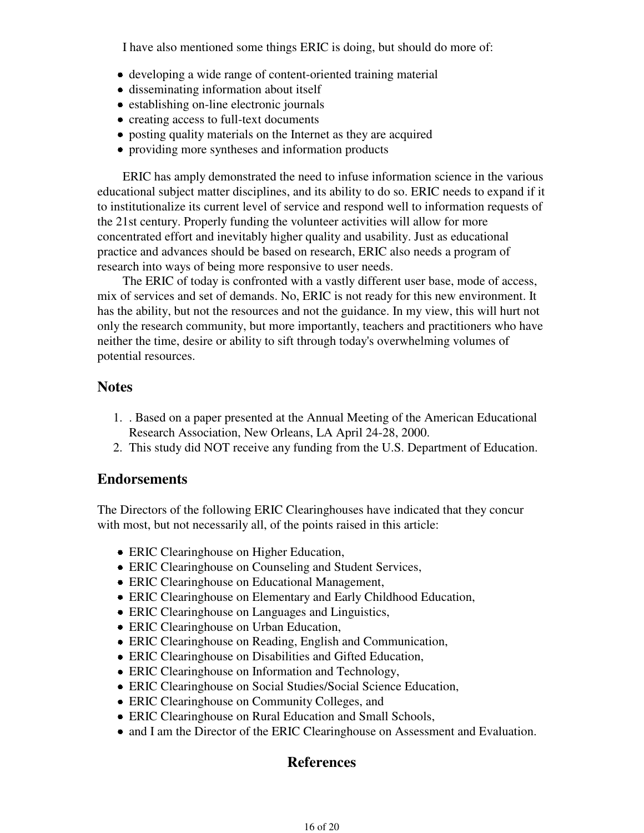I have also mentioned some things ERIC is doing, but should do more of:

- developing a wide range of content-oriented training material
- disseminating information about itself
- establishing on-line electronic journals
- creating access to full-text documents
- posting quality materials on the Internet as they are acquired
- providing more syntheses and information products

 ERIC has amply demonstrated the need to infuse information science in the various educational subject matter disciplines, and its ability to do so. ERIC needs to expand if it to institutionalize its current level of service and respond well to information requests of the 21st century. Properly funding the volunteer activities will allow for more concentrated effort and inevitably higher quality and usability. Just as educational practice and advances should be based on research, ERIC also needs a program of research into ways of being more responsive to user needs.

 The ERIC of today is confronted with a vastly different user base, mode of access, mix of services and set of demands. No, ERIC is not ready for this new environment. It has the ability, but not the resources and not the guidance. In my view, this will hurt not only the research community, but more importantly, teachers and practitioners who have neither the time, desire or ability to sift through today's overwhelming volumes of potential resources.

#### **Notes**

- . Based on a paper presented at the Annual Meeting of the American Educational 1. Research Association, New Orleans, LA April 24-28, 2000.
- 2. This study did NOT receive any funding from the U.S. Department of Education.

#### **Endorsements**

The Directors of the following ERIC Clearinghouses have indicated that they concur with most, but not necessarily all, of the points raised in this article:

- ERIC Clearinghouse on Higher Education,
- ERIC Clearinghouse on Counseling and Student Services,
- ERIC Clearinghouse on Educational Management,
- ERIC Clearinghouse on Elementary and Early Childhood Education,
- ERIC Clearinghouse on Languages and Linguistics,
- ERIC Clearinghouse on Urban Education,
- ERIC Clearinghouse on Reading, English and Communication,
- ERIC Clearinghouse on Disabilities and Gifted Education,
- ERIC Clearinghouse on Information and Technology,
- ERIC Clearinghouse on Social Studies/Social Science Education,
- ERIC Clearinghouse on Community Colleges, and
- ERIC Clearinghouse on Rural Education and Small Schools,
- and I am the Director of the ERIC Clearinghouse on Assessment and Evaluation.

## **References**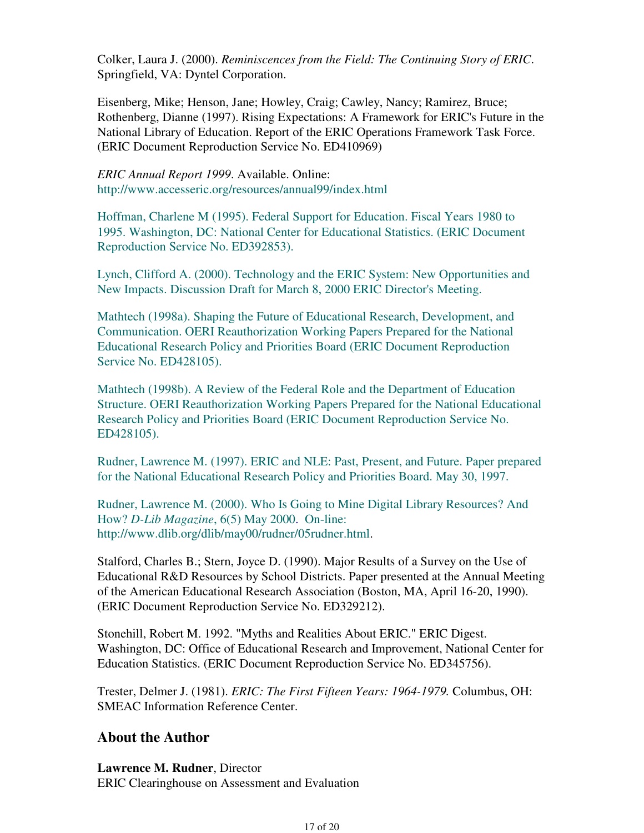Colker, Laura J. (2000). *Reminiscences from the Field: The Continuing Story of ERIC*. Springfield, VA: Dyntel Corporation.

Eisenberg, Mike; Henson, Jane; Howley, Craig; Cawley, Nancy; Ramirez, Bruce; Rothenberg, Dianne (1997). Rising Expectations: A Framework for ERIC's Future in the National Library of Education. Report of the ERIC Operations Framework Task Force. (ERIC Document Reproduction Service No. ED410969)

*ERIC Annual Report 1999*. Available. Online: http://www.accesseric.org/resources/annual99/index.html

Hoffman, Charlene M (1995). Federal Support for Education. Fiscal Years 1980 to 1995. Washington, DC: National Center for Educational Statistics. (ERIC Document Reproduction Service No. ED392853).

Lynch, Clifford A. (2000). Technology and the ERIC System: New Opportunities and New Impacts. Discussion Draft for March 8, 2000 ERIC Director's Meeting.

Mathtech (1998a). Shaping the Future of Educational Research, Development, and Communication. OERI Reauthorization Working Papers Prepared for the National Educational Research Policy and Priorities Board (ERIC Document Reproduction Service No. ED428105).

Mathtech (1998b). A Review of the Federal Role and the Department of Education Structure. OERI Reauthorization Working Papers Prepared for the National Educational Research Policy and Priorities Board (ERIC Document Reproduction Service No. ED428105).

Rudner, Lawrence M. (1997). ERIC and NLE: Past, Present, and Future. Paper prepared for the National Educational Research Policy and Priorities Board. May 30, 1997.

Rudner, Lawrence M. (2000). Who Is Going to Mine Digital Library Resources? And How? *D-Lib Magazine*, 6(5) May 2000. On-line: http://www.dlib.org/dlib/may00/rudner/05rudner.html.

Stalford, Charles B.; Stern, Joyce D. (1990). Major Results of a Survey on the Use of Educational R&D Resources by School Districts. Paper presented at the Annual Meeting of the American Educational Research Association (Boston, MA, April 16-20, 1990). (ERIC Document Reproduction Service No. ED329212).

Stonehill, Robert M. 1992. "Myths and Realities About ERIC." ERIC Digest. Washington, DC: Office of Educational Research and Improvement, National Center for Education Statistics. (ERIC Document Reproduction Service No. ED345756).

Trester, Delmer J. (1981). *ERIC: The First Fifteen Years: 1964-1979.* Columbus, OH: SMEAC Information Reference Center.

## **About the Author**

**Lawrence M. Rudner**, Director ERIC Clearinghouse on Assessment and Evaluation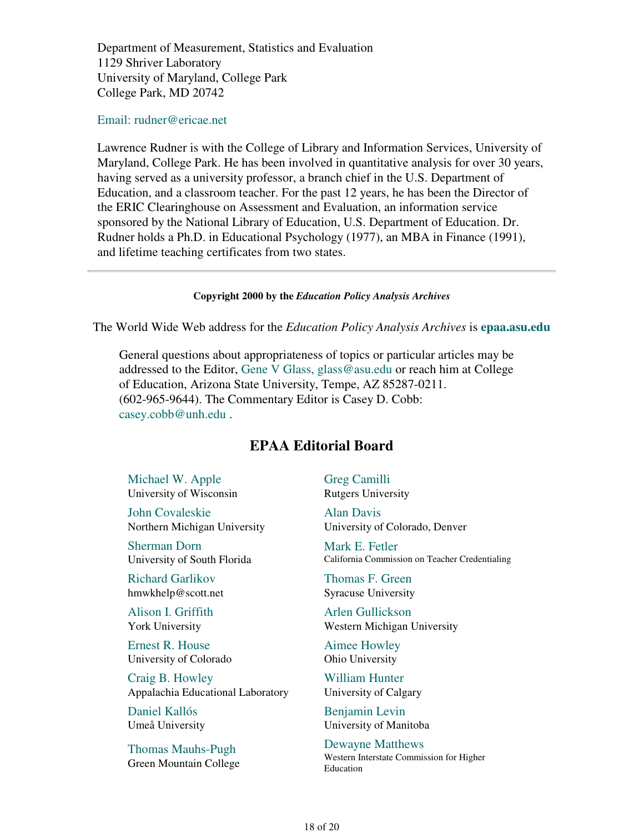Department of Measurement, Statistics and Evaluation 1129 Shriver Laboratory University of Maryland, College Park College Park, MD 20742

#### Email: rudner@ericae.net

Lawrence Rudner is with the College of Library and Information Services, University of Maryland, College Park. He has been involved in quantitative analysis for over 30 years, having served as a university professor, a branch chief in the U.S. Department of Education, and a classroom teacher. For the past 12 years, he has been the Director of the ERIC Clearinghouse on Assessment and Evaluation, an information service sponsored by the National Library of Education, U.S. Department of Education. Dr. Rudner holds a Ph.D. in Educational Psychology (1977), an MBA in Finance (1991), and lifetime teaching certificates from two states.

#### **Copyright 2000 by the** *Education Policy Analysis Archives*

The World Wide Web address for the *Education Policy Analysis Archives* is **epaa.asu.edu**

General questions about appropriateness of topics or particular articles may be addressed to the Editor, Gene V Glass, glass@asu.edu or reach him at College of Education, Arizona State University, Tempe, AZ 85287-0211. (602-965-9644). The Commentary Editor is Casey D. Cobb: casey.cobb@unh.edu .

## **EPAA Editorial Board**

Michael W. Apple University of Wisconsin

John Covaleskie Northern Michigan University

Sherman Dorn University of South Florida

Richard Garlikov hmwkhelp@scott.net

Alison I. Griffith York University

Ernest R. House University of Colorado

Craig B. Howley Appalachia Educational Laboratory

Daniel Kallós Umeå University

Thomas Mauhs-Pugh Green Mountain College Greg Camilli Rutgers University

Alan Davis University of Colorado, Denver

Mark E. Fetler California Commission on Teacher Credentialing

Thomas F. Green Syracuse University

Arlen Gullickson Western Michigan University

Aimee Howley Ohio University

William Hunter University of Calgary

Benjamin Levin University of Manitoba

Dewayne Matthews Western Interstate Commission for Higher Education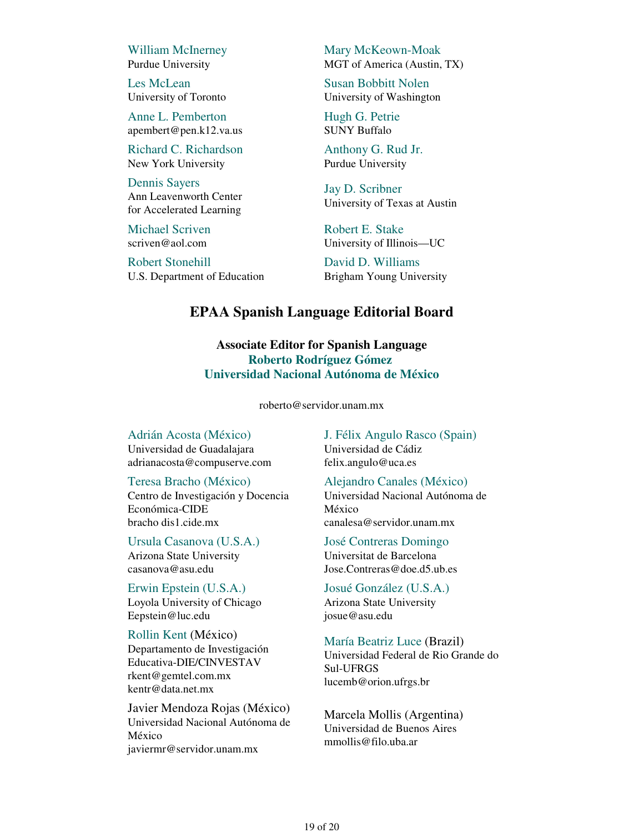William McInerney Purdue University

Les McLean University of Toronto

Anne L. Pemberton apembert@pen.k12.va.us

Richard C. Richardson New York University

Dennis Sayers Ann Leavenworth Center for Accelerated Learning

Michael Scriven scriven@aol.com

Robert Stonehill U.S. Department of Education Mary McKeown-Moak MGT of America (Austin, TX)

Susan Bobbitt Nolen University of Washington

Hugh G. Petrie SUNY Buffalo

Anthony G. Rud Jr. Purdue University

Jay D. Scribner University of Texas at Austin

Robert E. Stake University of Illinois—UC

David D. Williams Brigham Young University

## **EPAA Spanish Language Editorial Board**

**Associate Editor for Spanish Language Roberto Rodríguez Gómez Universidad Nacional Autónoma de México**

roberto@servidor.unam.mx

Adrián Acosta (México)

Universidad de Guadalajara adrianacosta@compuserve.com

Teresa Bracho (México)

Centro de Investigación y Docencia Económica-CIDE bracho dis1.cide.mx

Ursula Casanova (U.S.A.) Arizona State University casanova@asu.edu

Erwin Epstein (U.S.A.) Loyola University of Chicago Eepstein@luc.edu

Rollin Kent (México) Departamento de Investigación Educativa-DIE/CINVESTAV rkent@gemtel.com.mx kentr@data.net.mx

Javier Mendoza Rojas (México) Universidad Nacional Autónoma de México javiermr@servidor.unam.mx

J. Félix Angulo Rasco (Spain) Universidad de Cádiz felix.angulo@uca.es

Alejandro Canales (México) Universidad Nacional Autónoma de México

canalesa@servidor.unam.mx

José Contreras Domingo Universitat de Barcelona Jose.Contreras@doe.d5.ub.es

Josué González (U.S.A.) Arizona State University josue@asu.edu

María Beatriz Luce (Brazil) Universidad Federal de Rio Grande do Sul-UFRGS lucemb@orion.ufrgs.br

Marcela Mollis (Argentina) Universidad de Buenos Aires mmollis@filo.uba.ar